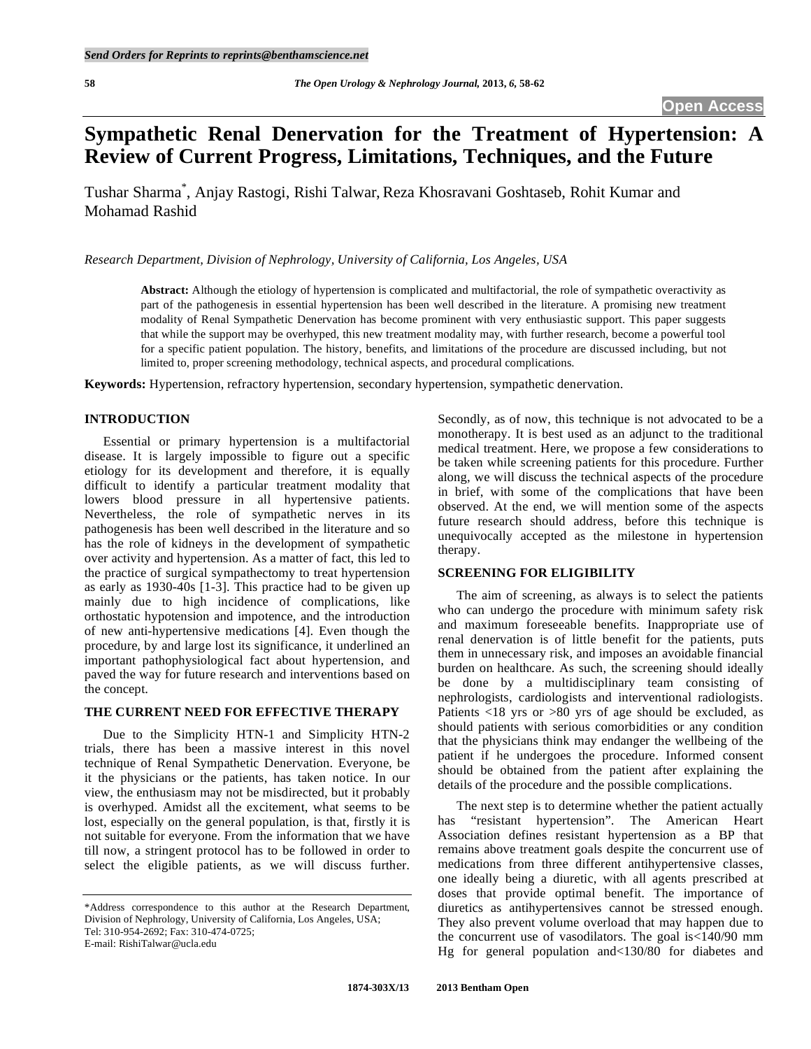# **Sympathetic Renal Denervation for the Treatment of Hypertension: A Review of Current Progress, Limitations, Techniques, and the Future**

Tushar Sharma\* , Anjay Rastogi, Rishi Talwar, Reza Khosravani Goshtaseb, Rohit Kumar and Mohamad Rashid

*Research Department, Division of Nephrology, University of California, Los Angeles, USA* 

**Abstract:** Although the etiology of hypertension is complicated and multifactorial, the role of sympathetic overactivity as part of the pathogenesis in essential hypertension has been well described in the literature. A promising new treatment modality of Renal Sympathetic Denervation has become prominent with very enthusiastic support. This paper suggests that while the support may be overhyped, this new treatment modality may, with further research, become a powerful tool for a specific patient population. The history, benefits, and limitations of the procedure are discussed including, but not limited to, proper screening methodology, technical aspects, and procedural complications.

**Keywords:** Hypertension, refractory hypertension, secondary hypertension, sympathetic denervation.

## **INTRODUCTION**

 Essential or primary hypertension is a multifactorial disease. It is largely impossible to figure out a specific etiology for its development and therefore, it is equally difficult to identify a particular treatment modality that lowers blood pressure in all hypertensive patients. Nevertheless, the role of sympathetic nerves in its pathogenesis has been well described in the literature and so has the role of kidneys in the development of sympathetic over activity and hypertension. As a matter of fact, this led to the practice of surgical sympathectomy to treat hypertension as early as 1930-40s [1-3]. This practice had to be given up mainly due to high incidence of complications, like orthostatic hypotension and impotence, and the introduction of new anti-hypertensive medications [4]. Even though the procedure, by and large lost its significance, it underlined an important pathophysiological fact about hypertension, and paved the way for future research and interventions based on the concept.

## **THE CURRENT NEED FOR EFFECTIVE THERAPY**

 Due to the Simplicity HTN-1 and Simplicity HTN-2 trials, there has been a massive interest in this novel technique of Renal Sympathetic Denervation. Everyone, be it the physicians or the patients, has taken notice. In our view, the enthusiasm may not be misdirected, but it probably is overhyped. Amidst all the excitement, what seems to be lost, especially on the general population, is that, firstly it is not suitable for everyone. From the information that we have till now, a stringent protocol has to be followed in order to select the eligible patients, as we will discuss further.

Secondly, as of now, this technique is not advocated to be a monotherapy. It is best used as an adjunct to the traditional medical treatment. Here, we propose a few considerations to be taken while screening patients for this procedure. Further along, we will discuss the technical aspects of the procedure in brief, with some of the complications that have been observed. At the end, we will mention some of the aspects future research should address, before this technique is unequivocally accepted as the milestone in hypertension therapy.

## **SCREENING FOR ELIGIBILITY**

 The aim of screening, as always is to select the patients who can undergo the procedure with minimum safety risk and maximum foreseeable benefits. Inappropriate use of renal denervation is of little benefit for the patients, puts them in unnecessary risk, and imposes an avoidable financial burden on healthcare. As such, the screening should ideally be done by a multidisciplinary team consisting of nephrologists, cardiologists and interventional radiologists. Patients <18 yrs or >80 yrs of age should be excluded, as should patients with serious comorbidities or any condition that the physicians think may endanger the wellbeing of the patient if he undergoes the procedure. Informed consent should be obtained from the patient after explaining the details of the procedure and the possible complications.

 The next step is to determine whether the patient actually has "resistant hypertension". The American Heart Association defines resistant hypertension as a BP that remains above treatment goals despite the concurrent use of medications from three different antihypertensive classes, one ideally being a diuretic, with all agents prescribed at doses that provide optimal benefit. The importance of diuretics as antihypertensives cannot be stressed enough. They also prevent volume overload that may happen due to the concurrent use of vasodilators. The goal is<140/90 mm Hg for general population and<130/80 for diabetes and

<sup>\*</sup>Address correspondence to this author at the Research Department, Division of Nephrology, University of California, Los Angeles, USA; Tel: 310-954-2692; Fax: 310-474-0725; E-mail: RishiTalwar@ucla.edu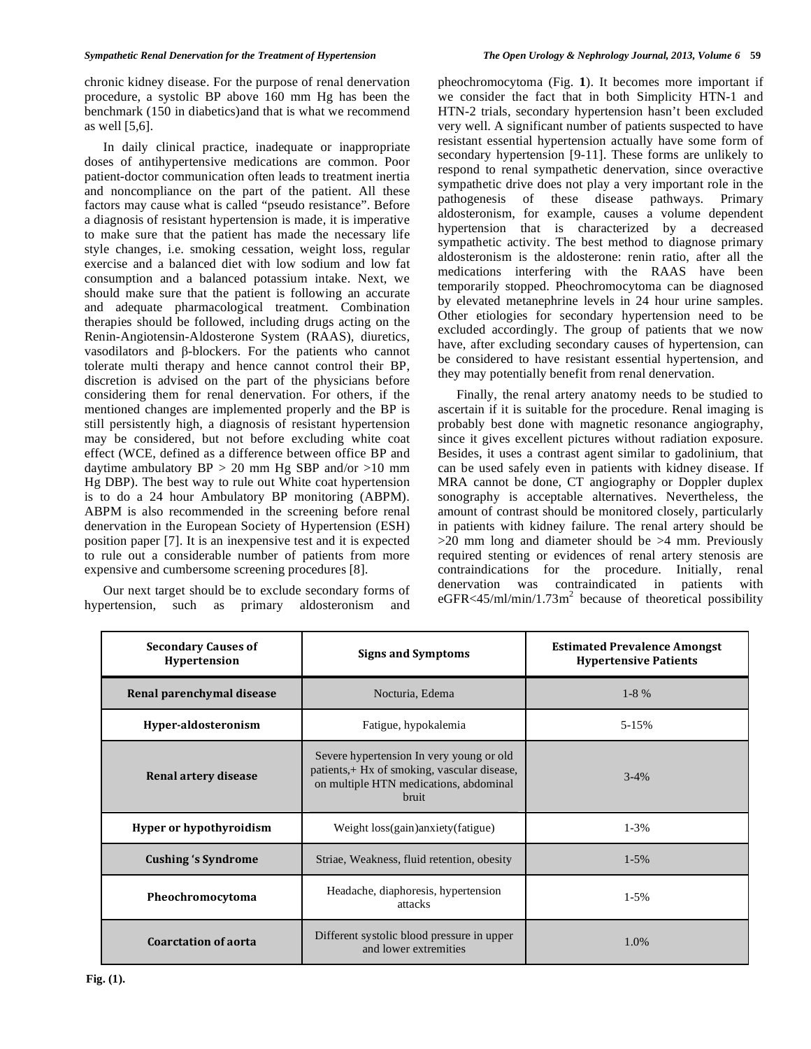chronic kidney disease. For the purpose of renal denervation procedure, a systolic BP above 160 mm Hg has been the benchmark (150 in diabetics)and that is what we recommend as well [5,6].

 In daily clinical practice, inadequate or inappropriate doses of antihypertensive medications are common. Poor patient-doctor communication often leads to treatment inertia and noncompliance on the part of the patient. All these factors may cause what is called "pseudo resistance". Before a diagnosis of resistant hypertension is made, it is imperative to make sure that the patient has made the necessary life style changes, i.e. smoking cessation, weight loss, regular exercise and a balanced diet with low sodium and low fat consumption and a balanced potassium intake. Next, we should make sure that the patient is following an accurate and adequate pharmacological treatment. Combination therapies should be followed, including drugs acting on the Renin-Angiotensin-Aldosterone System (RAAS), diuretics, vasodilators and  $\beta$ -blockers. For the patients who cannot tolerate multi therapy and hence cannot control their BP, discretion is advised on the part of the physicians before considering them for renal denervation. For others, if the mentioned changes are implemented properly and the BP is still persistently high, a diagnosis of resistant hypertension may be considered, but not before excluding white coat effect (WCE, defined as a difference between office BP and daytime ambulatory  $BP > 20$  mm Hg SBP and/or  $>10$  mm Hg DBP). The best way to rule out White coat hypertension is to do a 24 hour Ambulatory BP monitoring (ABPM). ABPM is also recommended in the screening before renal denervation in the European Society of Hypertension (ESH) position paper [7]. It is an inexpensive test and it is expected to rule out a considerable number of patients from more expensive and cumbersome screening procedures [8].

 Our next target should be to exclude secondary forms of hypertension, such as primary aldosteronism and

pheochromocytoma (Fig. **1**). It becomes more important if we consider the fact that in both Simplicity HTN-1 and HTN-2 trials, secondary hypertension hasn't been excluded very well. A significant number of patients suspected to have resistant essential hypertension actually have some form of secondary hypertension [9-11]. These forms are unlikely to respond to renal sympathetic denervation, since overactive sympathetic drive does not play a very important role in the pathogenesis of these disease pathways. Primary aldosteronism, for example, causes a volume dependent hypertension that is characterized by a decreased sympathetic activity. The best method to diagnose primary aldosteronism is the aldosterone: renin ratio, after all the medications interfering with the RAAS have been temporarily stopped. Pheochromocytoma can be diagnosed by elevated metanephrine levels in 24 hour urine samples. Other etiologies for secondary hypertension need to be excluded accordingly. The group of patients that we now have, after excluding secondary causes of hypertension, can be considered to have resistant essential hypertension, and they may potentially benefit from renal denervation.

 Finally, the renal artery anatomy needs to be studied to ascertain if it is suitable for the procedure. Renal imaging is probably best done with magnetic resonance angiography, since it gives excellent pictures without radiation exposure. Besides, it uses a contrast agent similar to gadolinium, that can be used safely even in patients with kidney disease. If MRA cannot be done, CT angiography or Doppler duplex sonography is acceptable alternatives. Nevertheless, the amount of contrast should be monitored closely, particularly in patients with kidney failure. The renal artery should be  $>20$  mm long and diameter should be  $>4$  mm. Previously required stenting or evidences of renal artery stenosis are contraindications for the procedure. Initially, renal denervation was contraindicated in patients with  $e$ GFR<45/ml/min/1.73m<sup>2</sup> because of theoretical possibility

| <b>Secondary Causes of</b><br>Hypertension | <b>Signs and Symptoms</b>                                                                                                                          | <b>Estimated Prevalence Amongst</b><br><b>Hypertensive Patients</b> |
|--------------------------------------------|----------------------------------------------------------------------------------------------------------------------------------------------------|---------------------------------------------------------------------|
| Renal parenchymal disease                  | Nocturia, Edema                                                                                                                                    | $1-8\%$                                                             |
| Hyper-aldosteronism                        | Fatigue, hypokalemia                                                                                                                               | 5-15%                                                               |
| Renal artery disease                       | Severe hypertension In very young or old<br>patients, + Hx of smoking, vascular disease,<br>on multiple HTN medications, abdominal<br><b>bruit</b> | $3 - 4\%$                                                           |
| Hyper or hypothyroidism                    | Weight loss(gain)anxiety(fatigue)                                                                                                                  | $1 - 3\%$                                                           |
| <b>Cushing 's Syndrome</b>                 | Striae, Weakness, fluid retention, obesity                                                                                                         | $1 - 5\%$                                                           |
| Pheochromocytoma                           | Headache, diaphoresis, hypertension<br>attacks                                                                                                     | $1-5%$                                                              |
| <b>Coarctation of aorta</b>                | Different systolic blood pressure in upper<br>and lower extremities                                                                                | 1.0%                                                                |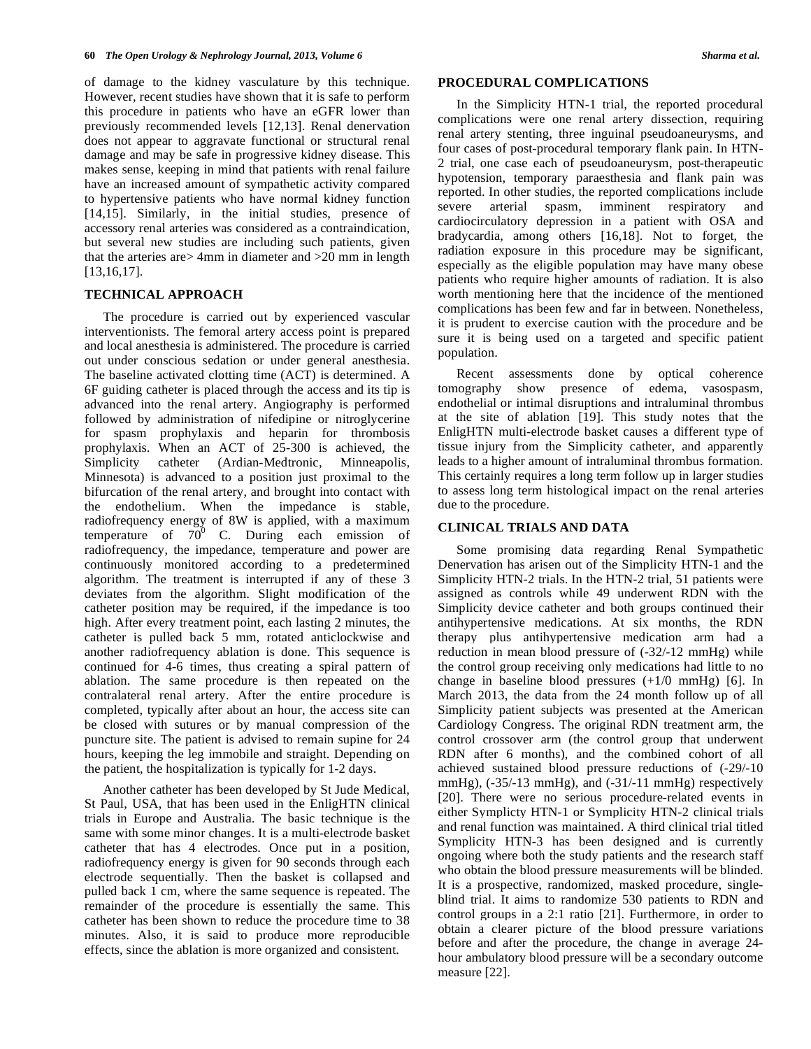of damage to the kidney vasculature by this technique. However, recent studies have shown that it is safe to perform this procedure in patients who have an eGFR lower than previously recommended levels [12,13]. Renal denervation does not appear to aggravate functional or structural renal damage and may be safe in progressive kidney disease. This makes sense, keeping in mind that patients with renal failure have an increased amount of sympathetic activity compared to hypertensive patients who have normal kidney function [14,15]. Similarly, in the initial studies, presence of accessory renal arteries was considered as a contraindication, but several new studies are including such patients, given that the arteries are> 4mm in diameter and >20 mm in length [13,16,17].

## **TECHNICAL APPROACH**

 The procedure is carried out by experienced vascular interventionists. The femoral artery access point is prepared and local anesthesia is administered. The procedure is carried out under conscious sedation or under general anesthesia. The baseline activated clotting time (ACT) is determined. A 6F guiding catheter is placed through the access and its tip is advanced into the renal artery. Angiography is performed followed by administration of nifedipine or nitroglycerine for spasm prophylaxis and heparin for thrombosis prophylaxis. When an ACT of 25-300 is achieved, the Simplicity catheter (Ardian-Medtronic, Minneapolis, Minnesota) is advanced to a position just proximal to the bifurcation of the renal artery, and brought into contact with the endothelium. When the impedance is stable, radiofrequency energy of 8W is applied, with a maximum temperature of  $70^0$  C. During each emission of radiofrequency, the impedance, temperature and power are continuously monitored according to a predetermined algorithm. The treatment is interrupted if any of these 3 deviates from the algorithm. Slight modification of the catheter position may be required, if the impedance is too high. After every treatment point, each lasting 2 minutes, the catheter is pulled back 5 mm, rotated anticlockwise and another radiofrequency ablation is done. This sequence is continued for 4-6 times, thus creating a spiral pattern of ablation. The same procedure is then repeated on the contralateral renal artery. After the entire procedure is completed, typically after about an hour, the access site can be closed with sutures or by manual compression of the puncture site. The patient is advised to remain supine for 24 hours, keeping the leg immobile and straight. Depending on the patient, the hospitalization is typically for 1-2 days.

 Another catheter has been developed by St Jude Medical, St Paul, USA, that has been used in the EnligHTN clinical trials in Europe and Australia. The basic technique is the same with some minor changes. It is a multi-electrode basket catheter that has 4 electrodes. Once put in a position, radiofrequency energy is given for 90 seconds through each electrode sequentially. Then the basket is collapsed and pulled back 1 cm, where the same sequence is repeated. The remainder of the procedure is essentially the same. This catheter has been shown to reduce the procedure time to 38 minutes. Also, it is said to produce more reproducible effects, since the ablation is more organized and consistent.

## **PROCEDURAL COMPLICATIONS**

 In the Simplicity HTN-1 trial, the reported procedural complications were one renal artery dissection, requiring renal artery stenting, three inguinal pseudoaneurysms, and four cases of post-procedural temporary flank pain. In HTN-2 trial, one case each of pseudoaneurysm, post-therapeutic hypotension, temporary paraesthesia and flank pain was reported. In other studies, the reported complications include severe arterial spasm, imminent respiratory and cardiocirculatory depression in a patient with OSA and bradycardia, among others [16,18]. Not to forget, the radiation exposure in this procedure may be significant, especially as the eligible population may have many obese patients who require higher amounts of radiation. It is also worth mentioning here that the incidence of the mentioned complications has been few and far in between. Nonetheless, it is prudent to exercise caution with the procedure and be sure it is being used on a targeted and specific patient population.

 Recent assessments done by optical coherence tomography show presence of edema, vasospasm, endothelial or intimal disruptions and intraluminal thrombus at the site of ablation [19]. This study notes that the EnligHTN multi-electrode basket causes a different type of tissue injury from the Simplicity catheter, and apparently leads to a higher amount of intraluminal thrombus formation. This certainly requires a long term follow up in larger studies to assess long term histological impact on the renal arteries due to the procedure.

# **CLINICAL TRIALS AND DATA**

 Some promising data regarding Renal Sympathetic Denervation has arisen out of the Simplicity HTN-1 and the Simplicity HTN-2 trials. In the HTN-2 trial, 51 patients were assigned as controls while 49 underwent RDN with the Simplicity device catheter and both groups continued their antihypertensive medications. At six months, the RDN therapy plus antihypertensive medication arm had a reduction in mean blood pressure of (-32/-12 mmHg) while the control group receiving only medications had little to no change in baseline blood pressures (+1/0 mmHg) [6]. In March 2013, the data from the 24 month follow up of all Simplicity patient subjects was presented at the American Cardiology Congress. The original RDN treatment arm, the control crossover arm (the control group that underwent RDN after 6 months), and the combined cohort of all achieved sustained blood pressure reductions of (-29/-10 mmHg),  $(-35/-13 \text{ mmHg})$ , and  $(-31/-11 \text{ mmHg})$  respectively [20]. There were no serious procedure-related events in either Symplicty HTN-1 or Symplicity HTN-2 clinical trials and renal function was maintained. A third clinical trial titled Symplicity HTN-3 has been designed and is currently ongoing where both the study patients and the research staff who obtain the blood pressure measurements will be blinded. It is a prospective, randomized, masked procedure, singleblind trial. It aims to randomize 530 patients to RDN and control groups in a 2:1 ratio [21]. Furthermore, in order to obtain a clearer picture of the blood pressure variations before and after the procedure, the change in average 24 hour ambulatory blood pressure will be a secondary outcome measure [22].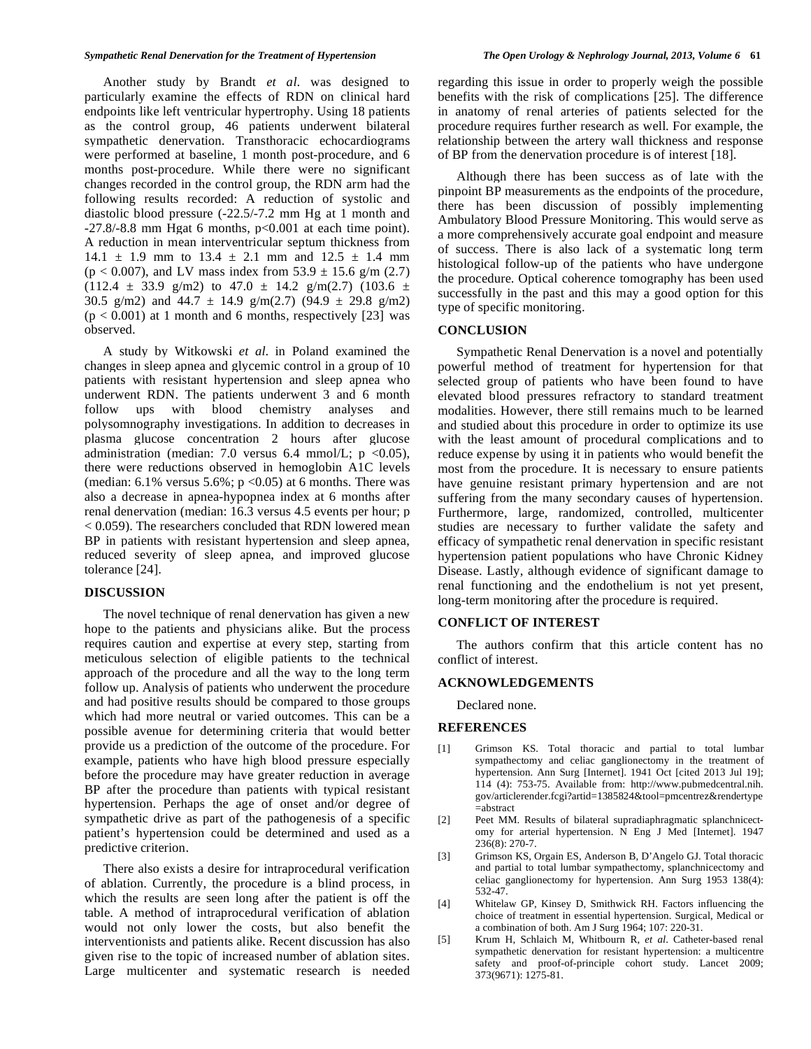Another study by Brandt *et al*. was designed to particularly examine the effects of RDN on clinical hard endpoints like left ventricular hypertrophy. Using 18 patients as the control group, 46 patients underwent bilateral sympathetic denervation. Transthoracic echocardiograms were performed at baseline, 1 month post-procedure, and 6 months post-procedure. While there were no significant changes recorded in the control group, the RDN arm had the following results recorded: A reduction of systolic and diastolic blood pressure (-22.5/-7.2 mm Hg at 1 month and  $-27.8/-8.8$  mm Hgat 6 months,  $p<0.001$  at each time point). A reduction in mean interventricular septum thickness from  $14.1 \pm 1.9$  mm to  $13.4 \pm 2.1$  mm and  $12.5 \pm 1.4$  mm  $(p < 0.007)$ , and LV mass index from 53.9  $\pm$  15.6 g/m (2.7)  $(112.4 \pm 33.9 \text{ g/m2})$  to  $47.0 \pm 14.2 \text{ g/m}(2.7)$   $(103.6 \pm 14.2 \text{ g/m})$ 30.5 g/m2) and  $44.7 \pm 14.9$  g/m(2.7) (94.9  $\pm$  29.8 g/m2)  $(p < 0.001)$  at 1 month and 6 months, respectively [23] was observed.

 A study by Witkowski *et al*. in Poland examined the changes in sleep apnea and glycemic control in a group of 10 patients with resistant hypertension and sleep apnea who underwent RDN. The patients underwent 3 and 6 month follow ups with blood chemistry analyses and polysomnography investigations. In addition to decreases in plasma glucose concentration 2 hours after glucose administration (median: 7.0 versus 6.4 mmol/L;  $p \le 0.05$ ), there were reductions observed in hemoglobin A1C levels (median:  $6.1\%$  versus  $5.6\%$ ;  $p < 0.05$ ) at 6 months. There was also a decrease in apnea-hypopnea index at 6 months after renal denervation (median: 16.3 versus 4.5 events per hour; p < 0.059). The researchers concluded that RDN lowered mean BP in patients with resistant hypertension and sleep apnea, reduced severity of sleep apnea, and improved glucose tolerance [24].

## **DISCUSSION**

 The novel technique of renal denervation has given a new hope to the patients and physicians alike. But the process requires caution and expertise at every step, starting from meticulous selection of eligible patients to the technical approach of the procedure and all the way to the long term follow up. Analysis of patients who underwent the procedure and had positive results should be compared to those groups which had more neutral or varied outcomes. This can be a possible avenue for determining criteria that would better provide us a prediction of the outcome of the procedure. For example, patients who have high blood pressure especially before the procedure may have greater reduction in average BP after the procedure than patients with typical resistant hypertension. Perhaps the age of onset and/or degree of sympathetic drive as part of the pathogenesis of a specific patient's hypertension could be determined and used as a predictive criterion.

 There also exists a desire for intraprocedural verification of ablation. Currently, the procedure is a blind process, in which the results are seen long after the patient is off the table. A method of intraprocedural verification of ablation would not only lower the costs, but also benefit the interventionists and patients alike. Recent discussion has also given rise to the topic of increased number of ablation sites. Large multicenter and systematic research is needed

regarding this issue in order to properly weigh the possible benefits with the risk of complications [25]. The difference in anatomy of renal arteries of patients selected for the procedure requires further research as well. For example, the relationship between the artery wall thickness and response of BP from the denervation procedure is of interest [18].

 Although there has been success as of late with the pinpoint BP measurements as the endpoints of the procedure, there has been discussion of possibly implementing Ambulatory Blood Pressure Monitoring. This would serve as a more comprehensively accurate goal endpoint and measure of success. There is also lack of a systematic long term histological follow-up of the patients who have undergone the procedure. Optical coherence tomography has been used successfully in the past and this may a good option for this type of specific monitoring.

## **CONCLUSION**

 Sympathetic Renal Denervation is a novel and potentially powerful method of treatment for hypertension for that selected group of patients who have been found to have elevated blood pressures refractory to standard treatment modalities. However, there still remains much to be learned and studied about this procedure in order to optimize its use with the least amount of procedural complications and to reduce expense by using it in patients who would benefit the most from the procedure. It is necessary to ensure patients have genuine resistant primary hypertension and are not suffering from the many secondary causes of hypertension. Furthermore, large, randomized, controlled, multicenter studies are necessary to further validate the safety and efficacy of sympathetic renal denervation in specific resistant hypertension patient populations who have Chronic Kidney Disease. Lastly, although evidence of significant damage to renal functioning and the endothelium is not yet present, long-term monitoring after the procedure is required.

## **CONFLICT OF INTEREST**

 The authors confirm that this article content has no conflict of interest.

### **ACKNOWLEDGEMENTS**

Declared none.

#### **REFERENCES**

- [1] Grimson KS. Total thoracic and partial to total lumbar sympathectomy and celiac ganglionectomy in the treatment of hypertension. Ann Surg [Internet]. 1941 Oct [cited 2013 Jul 19]; 114 (4): 753-75. Available from: http://www.pubmedcentral.nih. gov/articlerender.fcgi?artid=1385824&tool=pmcentrez&rendertype  $=$ abstract
- [2] Peet MM. Results of bilateral supradiaphragmatic splanchnicectomy for arterial hypertension. N Eng J Med [Internet]. 1947 236(8): 270-7.
- [3] Grimson KS, Orgain ES, Anderson B, D'Angelo GJ. Total thoracic and partial to total lumbar sympathectomy, splanchnicectomy and celiac ganglionectomy for hypertension. Ann Surg 1953 138(4): 532-47.
- [4] Whitelaw GP, Kinsey D, Smithwick RH. Factors influencing the choice of treatment in essential hypertension. Surgical, Medical or a combination of both. Am J Surg 1964; 107: 220-31.
- [5] Krum H, Schlaich M, Whitbourn R, *et al*. Catheter-based renal sympathetic denervation for resistant hypertension: a multicentre safety and proof-of-principle cohort study. Lancet 2009; 373(9671): 1275-81.